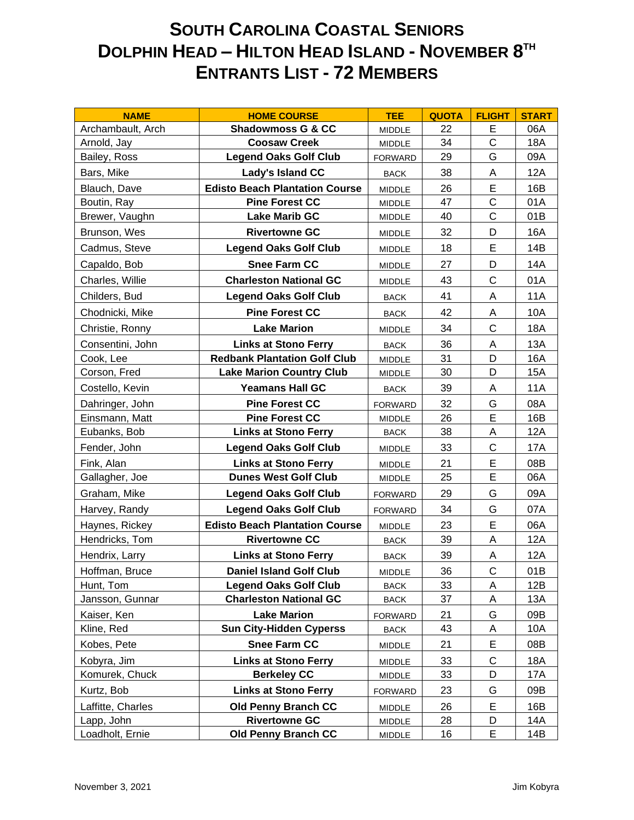## **SOUTH CAROLINA COASTAL SENIORS DOLPHIN HEAD – HILTON HEAD ISLAND - NOVEMBER 8 TH ENTRANTS LIST - 72 MEMBERS**

| <b>NAME</b>       | <b>HOME COURSE</b>                    | <b>TEE</b>     | <b>QUOTA</b> | <b>FLIGHT</b> | <b>START</b> |
|-------------------|---------------------------------------|----------------|--------------|---------------|--------------|
| Archambault, Arch | <b>Shadowmoss G &amp; CC</b>          | <b>MIDDLE</b>  | 22           | E             | 06A          |
| Arnold, Jay       | <b>Coosaw Creek</b>                   | MIDDLE         | 34           | $\mathsf{C}$  | <b>18A</b>   |
| Bailey, Ross      | <b>Legend Oaks Golf Club</b>          | <b>FORWARD</b> | 29           | G             | 09A          |
| Bars, Mike        | Lady's Island CC                      | <b>BACK</b>    | 38           | A             | 12A          |
| Blauch, Dave      | <b>Edisto Beach Plantation Course</b> | <b>MIDDLE</b>  | 26           | E             | 16B          |
| Boutin, Ray       | <b>Pine Forest CC</b>                 | <b>MIDDLE</b>  | 47           | $\mathsf{C}$  | 01A          |
| Brewer, Vaughn    | <b>Lake Marib GC</b>                  | <b>MIDDLE</b>  | 40           | $\mathsf{C}$  | 01B          |
| Brunson, Wes      | <b>Rivertowne GC</b>                  | MIDDLE         | 32           | D             | 16A          |
| Cadmus, Steve     | <b>Legend Oaks Golf Club</b>          | <b>MIDDLE</b>  | 18           | E             | 14B          |
| Capaldo, Bob      | <b>Snee Farm CC</b>                   | <b>MIDDLE</b>  | 27           | D             | 14A          |
| Charles, Willie   | <b>Charleston National GC</b>         | MIDDLE         | 43           | $\mathsf{C}$  | 01A          |
| Childers, Bud     | <b>Legend Oaks Golf Club</b>          | <b>BACK</b>    | 41           | A             | <b>11A</b>   |
| Chodnicki, Mike   | <b>Pine Forest CC</b>                 | <b>BACK</b>    | 42           | A             | 10A          |
| Christie, Ronny   | <b>Lake Marion</b>                    | <b>MIDDLE</b>  | 34           | $\mathsf{C}$  | <b>18A</b>   |
| Consentini, John  | <b>Links at Stono Ferry</b>           | <b>BACK</b>    | 36           | A             | 13A          |
| Cook, Lee         | <b>Redbank Plantation Golf Club</b>   | <b>MIDDLE</b>  | 31           | D             | <b>16A</b>   |
| Corson, Fred      | <b>Lake Marion Country Club</b>       | <b>MIDDLE</b>  | 30           | D             | <b>15A</b>   |
| Costello, Kevin   | <b>Yeamans Hall GC</b>                | <b>BACK</b>    | 39           | Α             | <b>11A</b>   |
| Dahringer, John   | <b>Pine Forest CC</b>                 | <b>FORWARD</b> | 32           | G             | 08A          |
| Einsmann, Matt    | <b>Pine Forest CC</b>                 | <b>MIDDLE</b>  | 26           | E             | 16B          |
| Eubanks, Bob      | <b>Links at Stono Ferry</b>           | <b>BACK</b>    | 38           | Α             | 12A          |
| Fender, John      | <b>Legend Oaks Golf Club</b>          | <b>MIDDLE</b>  | 33           | $\mathsf{C}$  | 17A          |
| Fink, Alan        | <b>Links at Stono Ferry</b>           | <b>MIDDLE</b>  | 21           | E             | 08B          |
| Gallagher, Joe    | <b>Dunes West Golf Club</b>           | MIDDLE         | 25           | E             | 06A          |
| Graham, Mike      | <b>Legend Oaks Golf Club</b>          | <b>FORWARD</b> | 29           | G             | 09A          |
| Harvey, Randy     | <b>Legend Oaks Golf Club</b>          | <b>FORWARD</b> | 34           | G             | 07A          |
| Haynes, Rickey    | <b>Edisto Beach Plantation Course</b> | MIDDLE         | 23           | E             | 06A          |
| Hendricks, Tom    | <b>Rivertowne CC</b>                  | <b>BACK</b>    | 39           | A             | 12A          |
| Hendrix, Larry    | <b>Links at Stono Ferry</b>           | <b>BACK</b>    | 39           | A             | 12A          |
| Hoffman, Bruce    | <b>Daniel Island Golf Club</b>        | MIDDLE         | 36           | $\mathsf C$   | 01B          |
| Hunt, Tom         | <b>Legend Oaks Golf Club</b>          | <b>BACK</b>    | 33           | A             | 12B          |
| Jansson, Gunnar   | <b>Charleston National GC</b>         | <b>BACK</b>    | 37           | A             | 13A          |
| Kaiser, Ken       | <b>Lake Marion</b>                    | <b>FORWARD</b> | 21           | G             | 09B          |
| Kline, Red        | <b>Sun City-Hidden Cyperss</b>        | <b>BACK</b>    | 43           | Α             | 10A          |
| Kobes, Pete       | <b>Snee Farm CC</b>                   | MIDDLE         | 21           | Е             | 08B          |
| Kobyra, Jim       | <b>Links at Stono Ferry</b>           | MIDDLE         | 33           | C             | 18A          |
| Komurek, Chuck    | <b>Berkeley CC</b>                    | MIDDLE         | 33           | D             | 17A          |
| Kurtz, Bob        | <b>Links at Stono Ferry</b>           | <b>FORWARD</b> | 23           | G             | 09B          |
| Laffitte, Charles | <b>Old Penny Branch CC</b>            | <b>MIDDLE</b>  | 26           | Е             | 16B          |
| Lapp, John        | <b>Rivertowne GC</b>                  | MIDDLE         | 28           | D             | 14A          |
| Loadholt, Ernie   | <b>Old Penny Branch CC</b>            | MIDDLE         | 16           | Е             | 14B          |